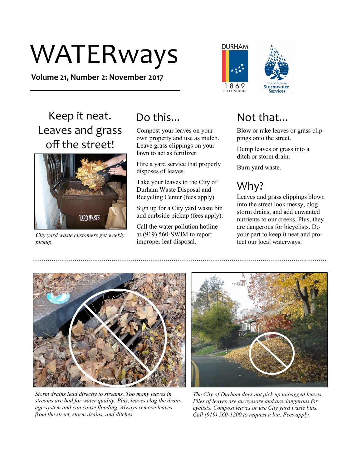# WATERways

### **Volume 21, Number 2: November 2017**



### Keep it neat. Leaves and grass off the street!



*City yard waste customers get weekly pickup.*

Compost your leaves on your own property and use as mulch. Leave grass clippings on your lawn to act as fertilizer.

Hire a yard service that properly disposes of leaves.

Take your leaves to the City of Durham Waste Disposal and Recycling Center (fees apply).

Sign up for a City yard waste bin and curbside pickup (fees apply).

Call the water pollution hotline at (919) 560-SWIM to report improper leaf disposal.

### Do this... Not that...

Blow or rake leaves or grass clippings onto the street.

Dump leaves or grass into a ditch or storm drain.

Burn yard waste.

### Why?

Leaves and grass clippings blown into the street look messy, clog storm drains, and add unwanted nutrients to our creeks. Plus, they are dangerous for bicyclists. Do your part to keep it neat and protect our local waterways.



*Storm drains lead directly to streams. Too many leaves in streams are bad for water quality. Plus, leaves clog the drainage system and can cause flooding. Always remove leaves from the street, storm drains, and ditches.*



*The City of Durham does not pick up unbagged leaves. Piles of leaves are an eyesore and are dangerous for cyclists. Compost leaves or use City yard waste bins. Call (919) 560-1200 to request a bin. Fees apply.*